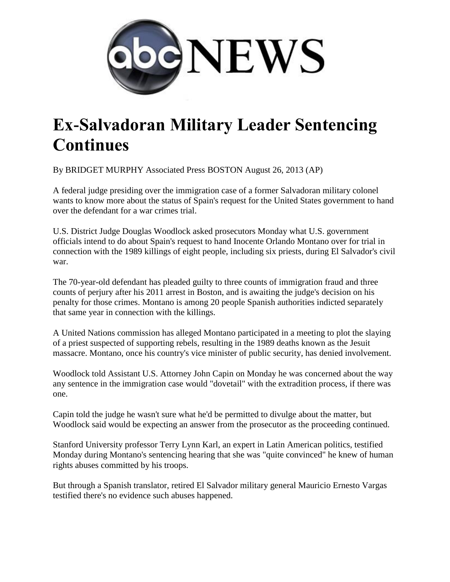

## **Ex-Salvadoran Military Leader Sentencing Continues**

By BRIDGET MURPHY Associated Press BOSTON August 26, 2013 (AP)

A federal judge presiding over the immigration case of a former Salvadoran military colonel wants to know more about the status of Spain's request for the United States government to hand over the defendant for a war crimes trial.

U.S. District Judge Douglas Woodlock asked prosecutors Monday what U.S. government officials intend to do about Spain's request to hand Inocente Orlando Montano over for trial in connection with the 1989 killings of eight people, including six priests, during El Salvador's civil war.

The 70-year-old defendant has pleaded guilty to three counts of immigration fraud and three counts of perjury after his 2011 arrest in Boston, and is awaiting the judge's decision on his penalty for those crimes. Montano is among 20 people Spanish authorities indicted separately that same year in connection with the killings.

A United Nations commission has alleged Montano participated in a meeting to plot the slaying of a priest suspected of supporting rebels, resulting in the 1989 deaths known as the Jesuit massacre. Montano, once his country's vice minister of public security, has denied involvement.

Woodlock told Assistant U.S. Attorney John Capin on Monday he was concerned about the way any sentence in the immigration case would "dovetail" with the extradition process, if there was one.

Capin told the judge he wasn't sure what he'd be permitted to divulge about the matter, but Woodlock said would be expecting an answer from the prosecutor as the proceeding continued.

Stanford University professor Terry Lynn Karl, an expert in Latin American politics, testified Monday during Montano's sentencing hearing that she was "quite convinced" he knew of human rights abuses committed by his troops.

But through a Spanish translator, retired El Salvador military general Mauricio Ernesto Vargas testified there's no evidence such abuses happened.